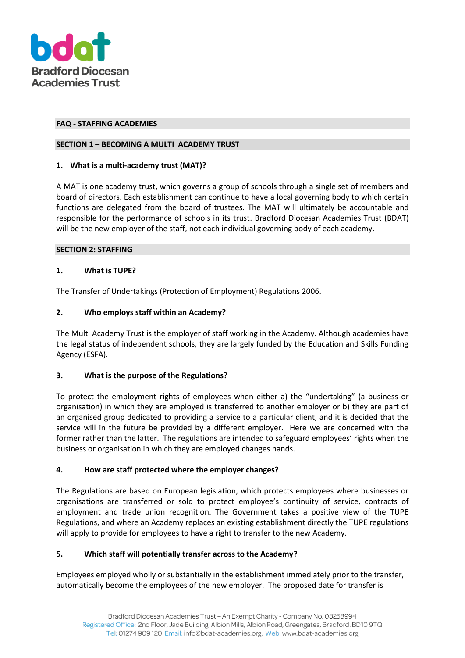

#### **FAQ - STAFFING ACADEMIES**

#### **SECTION 1 – BECOMING A MULTI ACADEMY TRUST**

## **1. What is a multi-academy trust (MAT)?**

A MAT is one academy trust, which governs a group of schools through a single set of members and board of directors. Each establishment can continue to have a local governing body to which certain functions are delegated from the board of trustees. The MAT will ultimately be accountable and responsible for the performance of schools in its trust. Bradford Diocesan Academies Trust (BDAT) will be the new employer of the staff, not each individual governing body of each academy.

#### **SECTION 2: STAFFING**

## **1. What is TUPE?**

The Transfer of Undertakings (Protection of Employment) Regulations 2006.

## **2. Who employs staff within an Academy?**

The Multi Academy Trust is the employer of staff working in the Academy. Although academies have the legal status of independent schools, they are largely funded by the Education and Skills Funding Agency (ESFA).

# **3. What is the purpose of the Regulations?**

To protect the employment rights of employees when either a) the "undertaking" (a business or organisation) in which they are employed is transferred to another employer or b) they are part of an organised group dedicated to providing a service to a particular client, and it is decided that the service will in the future be provided by a different employer. Here we are concerned with the former rather than the latter. The regulations are intended to safeguard employees' rights when the business or organisation in which they are employed changes hands.

# **4. How are staff protected where the employer changes?**

The Regulations are based on European legislation, which protects employees where businesses or organisations are transferred or sold to protect employee's continuity of service, contracts of employment and trade union recognition. The Government takes a positive view of the TUPE Regulations, and where an Academy replaces an existing establishment directly the TUPE regulations will apply to provide for employees to have a right to transfer to the new Academy.

# **5. Which staff will potentially transfer across to the Academy?**

Employees employed wholly or substantially in the establishment immediately prior to the transfer, automatically become the employees of the new employer. The proposed date for transfer is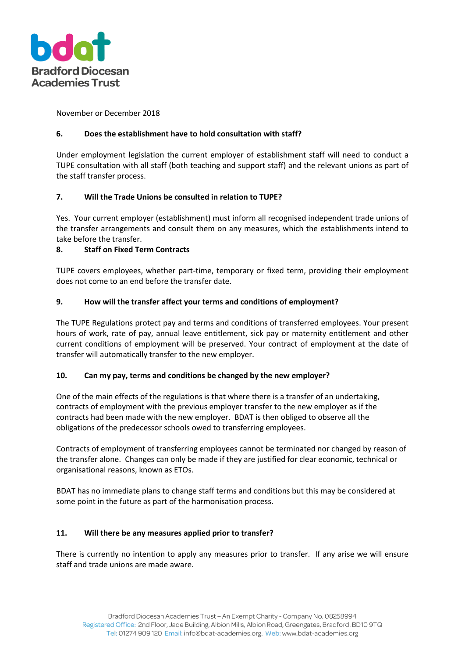

November or December 2018

# **6. Does the establishment have to hold consultation with staff?**

Under employment legislation the current employer of establishment staff will need to conduct a TUPE consultation with all staff (both teaching and support staff) and the relevant unions as part of the staff transfer process.

## **7. Will the Trade Unions be consulted in relation to TUPE?**

Yes. Your current employer (establishment) must inform all recognised independent trade unions of the transfer arrangements and consult them on any measures, which the establishments intend to take before the transfer.

## **8. Staff on Fixed Term Contracts**

TUPE covers employees, whether part-time, temporary or fixed term, providing their employment does not come to an end before the transfer date.

## **9. How will the transfer affect your terms and conditions of employment?**

The TUPE Regulations protect pay and terms and conditions of transferred employees. Your present hours of work, rate of pay, annual leave entitlement, sick pay or maternity entitlement and other current conditions of employment will be preserved. Your contract of employment at the date of transfer will automatically transfer to the new employer.

#### **10. Can my pay, terms and conditions be changed by the new employer?**

One of the main effects of the regulations is that where there is a transfer of an undertaking, contracts of employment with the previous employer transfer to the new employer as if the contracts had been made with the new employer. BDAT is then obliged to observe all the obligations of the predecessor schools owed to transferring employees.

Contracts of employment of transferring employees cannot be terminated nor changed by reason of the transfer alone. Changes can only be made if they are justified for clear economic, technical or organisational reasons, known as ETOs.

BDAT has no immediate plans to change staff terms and conditions but this may be considered at some point in the future as part of the harmonisation process.

#### **11. Will there be any measures applied prior to transfer?**

There is currently no intention to apply any measures prior to transfer. If any arise we will ensure staff and trade unions are made aware.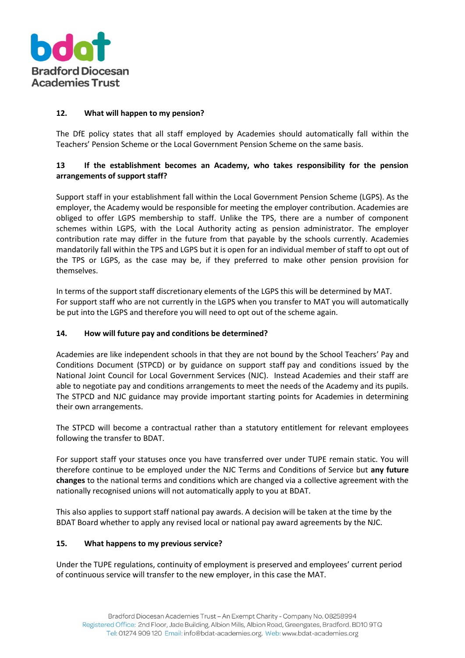

## **12. What will happen to my pension?**

The DfE policy states that all staff employed by Academies should automatically fall within the Teachers' Pension Scheme or the Local Government Pension Scheme on the same basis.

# **13 If the establishment becomes an Academy, who takes responsibility for the pension arrangements of support staff?**

Support staff in your establishment fall within the Local Government Pension Scheme (LGPS). As the employer, the Academy would be responsible for meeting the employer contribution. Academies are obliged to offer LGPS membership to staff. Unlike the TPS, there are a number of component schemes within LGPS, with the Local Authority acting as pension administrator. The employer contribution rate may differ in the future from that payable by the schools currently. Academies mandatorily fall within the TPS and LGPS but it is open for an individual member of staff to opt out of the TPS or LGPS, as the case may be, if they preferred to make other pension provision for themselves.

In terms of the support staff discretionary elements of the LGPS this will be determined by MAT. For support staff who are not currently in the LGPS when you transfer to MAT you will automatically be put into the LGPS and therefore you will need to opt out of the scheme again.

#### **14. How will future pay and conditions be determined?**

Academies are like independent schools in that they are not bound by the School Teachers' Pay and Conditions Document (STPCD) or by guidance on support staff pay and conditions issued by the National Joint Council for Local Government Services (NJC). Instead Academies and their staff are able to negotiate pay and conditions arrangements to meet the needs of the Academy and its pupils. The STPCD and NJC guidance may provide important starting points for Academies in determining their own arrangements.

The STPCD will become a contractual rather than a statutory entitlement for relevant employees following the transfer to BDAT.

For support staff your statuses once you have transferred over under TUPE remain static. You will therefore continue to be employed under the NJC Terms and Conditions of Service but **any future changes** to the national terms and conditions which are changed via a collective agreement with the nationally recognised unions will not automatically apply to you at BDAT.

This also applies to support staff national pay awards. A decision will be taken at the time by the BDAT Board whether to apply any revised local or national pay award agreements by the NJC.

#### **15. What happens to my previous service?**

Under the TUPE regulations, continuity of employment is preserved and employees' current period of continuous service will transfer to the new employer, in this case the MAT.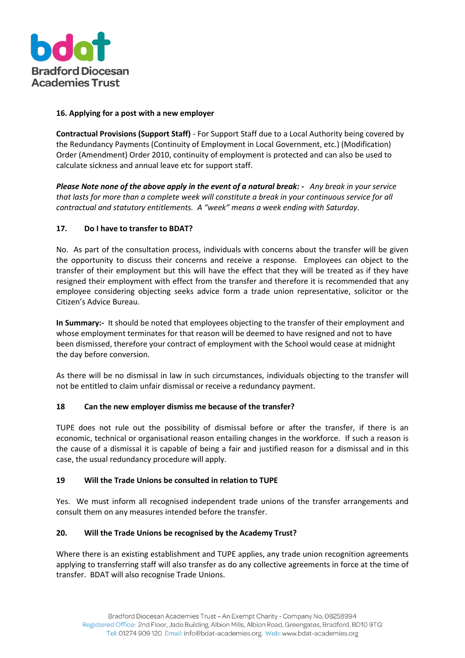

## **16. Applying for a post with a new employer**

**Contractual Provisions (Support Staff)** - For Support Staff due to a Local Authority being covered by the Redundancy Payments (Continuity of Employment in Local Government, etc.) (Modification) Order (Amendment) Order 2010, continuity of employment is protected and can also be used to calculate sickness and annual leave etc for support staff.

*Please Note none of the above apply in the event of a natural break: - Any break in your service that lasts for more than a complete week will constitute a break in your continuous service for all contractual and statutory entitlements. A ͞week͟ means a week ending with Saturday.* 

## **17. Do I have to transfer to BDAT?**

No. As part of the consultation process, individuals with concerns about the transfer will be given the opportunity to discuss their concerns and receive a response. Employees can object to the transfer of their employment but this will have the effect that they will be treated as if they have resigned their employment with effect from the transfer and therefore it is recommended that any employee considering objecting seeks advice form a trade union representative, solicitor or the Citizen's Advice Bureau.

**In Summary:-** It should be noted that employees objecting to the transfer of their employment and whose employment terminates for that reason will be deemed to have resigned and not to have been dismissed, therefore your contract of employment with the School would cease at midnight the day before conversion.

As there will be no dismissal in law in such circumstances, individuals objecting to the transfer will not be entitled to claim unfair dismissal or receive a redundancy payment.

#### **18 Can the new employer dismiss me because of the transfer?**

TUPE does not rule out the possibility of dismissal before or after the transfer, if there is an economic, technical or organisational reason entailing changes in the workforce. If such a reason is the cause of a dismissal it is capable of being a fair and justified reason for a dismissal and in this case, the usual redundancy procedure will apply.

#### **19 Will the Trade Unions be consulted in relation to TUPE**

Yes. We must inform all recognised independent trade unions of the transfer arrangements and consult them on any measures intended before the transfer.

# **20. Will the Trade Unions be recognised by the Academy Trust?**

Where there is an existing establishment and TUPE applies, any trade union recognition agreements applying to transferring staff will also transfer as do any collective agreements in force at the time of transfer. BDAT will also recognise Trade Unions.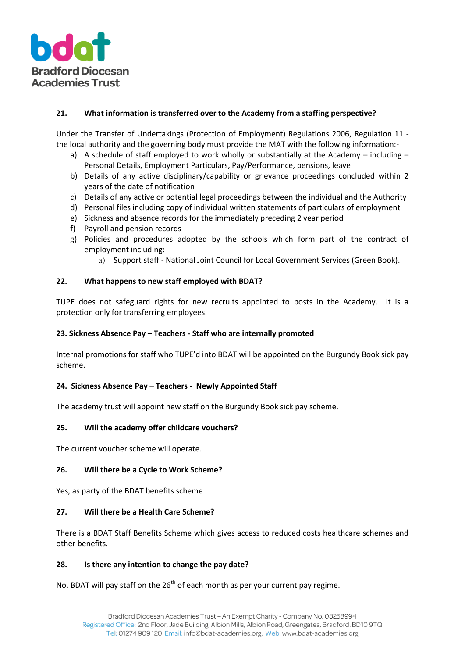

## **21. What information is transferred over to the Academy from a staffing perspective?**

Under the Transfer of Undertakings (Protection of Employment) Regulations 2006, Regulation 11 the local authority and the governing body must provide the MAT with the following information:-

- a) A schedule of staff employed to work wholly or substantially at the Academy including Personal Details, Employment Particulars, Pay/Performance, pensions, leave
- b) Details of any active disciplinary/capability or grievance proceedings concluded within 2 years of the date of notification
- c) Details of any active or potential legal proceedings between the individual and the Authority
- d) Personal files including copy of individual written statements of particulars of employment
- e) Sickness and absence records for the immediately preceding 2 year period
- f) Payroll and pension records
- g) Policies and procedures adopted by the schools which form part of the contract of employment including:
	- a) Support staff National Joint Council for Local Government Services (Green Book).

## **22. What happens to new staff employed with BDAT?**

TUPE does not safeguard rights for new recruits appointed to posts in the Academy. It is a protection only for transferring employees.

#### **23. Sickness Absence Pay – Teachers - Staff who are internally promoted**

Internal promotions for staff who TUPE'd into BDAT will be appointed on the Burgundy Book sick pay scheme.

#### **24. Sickness Absence Pay – Teachers - Newly Appointed Staff**

The academy trust will appoint new staff on the Burgundy Book sick pay scheme.

#### **25. Will the academy offer childcare vouchers?**

The current voucher scheme will operate.

#### **26. Will there be a Cycle to Work Scheme?**

Yes, as party of the BDAT benefits scheme

#### **27. Will there be a Health Care Scheme?**

There is a BDAT Staff Benefits Scheme which gives access to reduced costs healthcare schemes and other benefits.

#### **28. Is there any intention to change the pay date?**

No, BDAT will pay staff on the  $26<sup>th</sup>$  of each month as per your current pay regime.